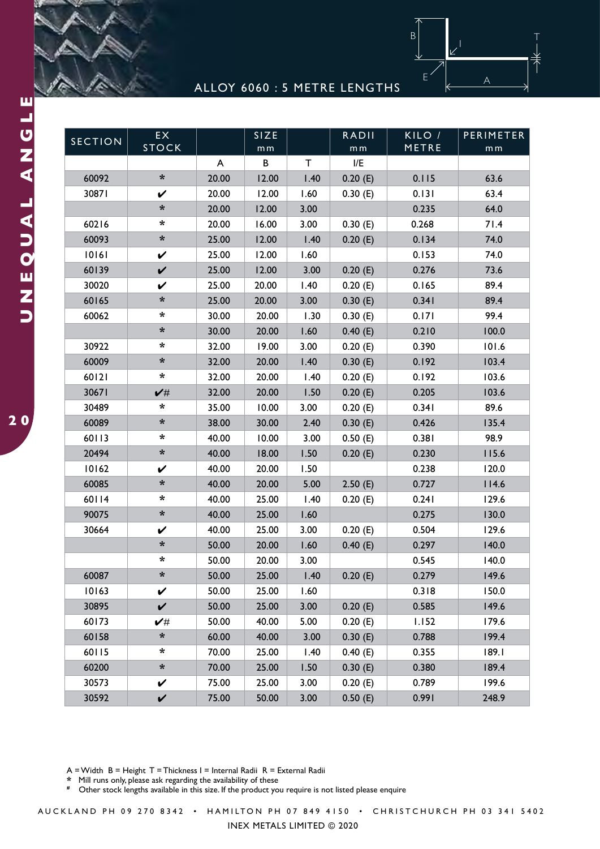

|                |                      |       |                     |      | ALLOY 6060 : 5 METRE LENGTHS |                 |                  |
|----------------|----------------------|-------|---------------------|------|------------------------------|-----------------|------------------|
|                |                      |       |                     |      |                              |                 |                  |
|                |                      |       |                     |      |                              |                 |                  |
| <b>SECTION</b> | EX<br><b>STOCK</b>   |       | SIZE                |      | <b>RADII</b>                 | KILO /<br>METRE | <b>PERIMETER</b> |
|                |                      | A     | m <sub>m</sub><br>B | Τ    | m <sub>m</sub><br>I/E        |                 | m <sub>m</sub>   |
| 60092          | $\ast$               | 20.00 | 12.00               | 1.40 | 0.20(E)                      | 0.115           | 63.6             |
| 30871          | V                    | 20.00 | 12.00               | 1.60 | 0.30(E)                      | 0.131           | 63.4             |
|                | $\ast$               | 20.00 | 12.00               | 3.00 |                              | 0.235           | 64.0             |
| 60216          | *                    | 20.00 | 16.00               | 3.00 |                              | 0.268           | 71.4             |
|                | *                    |       |                     |      | 0.30(E)                      |                 |                  |
| 60093          |                      | 25.00 | 12.00               | 1.40 | 0.20(E)                      | 0.134           | 74.0             |
| 10161          | V                    | 25.00 | 12.00               | 1.60 |                              | 0.153           | 74.0             |
| 60139          | $\checkmark$         | 25.00 | 12.00               | 3.00 | 0.20(E)                      | 0.276           | 73.6             |
| 30020          | V                    | 25.00 | 20.00               | 1.40 | 0.20(E)                      | 0.165           | 89.4             |
| 60165          | *                    | 25.00 | 20.00               | 3.00 | 0.30(E)                      | 0.341           | 89.4             |
| 60062          | $\ast$               | 30.00 | 20.00               | 1.30 | 0.30(E)                      | 0.171           | 99.4             |
|                | *                    | 30.00 | 20.00               | 1.60 | 0.40(E)                      | 0.210           | 100.0            |
| 30922          | *                    | 32.00 | 19.00               | 3.00 | 0.20(E)                      | 0.390           | 101.6            |
| 60009          | *                    | 32.00 | 20.00               | 1.40 | 0.30(E)                      | 0.192           | 103.4            |
| 60121          | $\ast$               | 32.00 | 20.00               | 1.40 | 0.20(E)                      | 0.192           | 103.6            |
| 30671          | $\checkmark$         | 32.00 | 20.00               | 1.50 | 0.20(E)                      | 0.205           | 103.6            |
| 30489          | $\ast$               | 35.00 | 10.00               | 3.00 | 0.20(E)                      | 0.341           | 89.6             |
| 60089          | $\boldsymbol{\star}$ | 38.00 | 30.00               | 2.40 | 0.30(E)                      | 0.426           | 135.4            |
| 60113          | $\ast$               | 40.00 | 10.00               | 3.00 | 0.50(E)                      | 0.381           | 98.9             |
| 20494          | $\ast$               | 40.00 | 18.00               | 1.50 | 0.20(E)                      | 0.230           | 115.6            |
| 10162          | V                    | 40.00 | 20.00               | 1.50 |                              | 0.238           | 120.0            |
| 60085          | *                    | 40.00 | 20.00               | 5.00 | 2.50(E)                      | 0.727           | 114.6            |
| 60114          | $\ast$               | 40.00 | 25.00               | 1.40 | 0.20(E)                      | 0.241           | 129.6            |
| 90075          | $\boldsymbol{*}$     | 40.00 | 25.00               | 1.60 |                              | 0.275           | 130.0            |
| 30664          | V                    | 40.00 | 25.00               | 3.00 | 0.20(E)                      | 0.504           | 129.6            |
|                | $\ast$               | 50.00 | 20.00               | 1.60 | 0.40(E)                      | 0.297           | 140.0            |
|                | $\ast$               | 50.00 | 20.00               | 3.00 |                              | 0.545           | 140.0            |
| 60087          | $\boldsymbol{\star}$ | 50.00 | 25.00               | 1.40 | 0.20(E)                      | 0.279           | 149.6            |
| 10163          | $\checkmark$         | 50.00 | 25.00               | 1.60 |                              | 0.318           | 150.0            |
| 30895          | $\checkmark$         | 50.00 | 25.00               | 3.00 | 0.20(E)                      | 0.585           | 149.6            |
| 60173          | $\checkmark$         | 50.00 | 40.00               | 5.00 | 0.20(E)                      | 1.152           | 179.6            |
| 60158          | $\boldsymbol{\ast}$  | 60.00 | 40.00               | 3.00 | 0.30(E)                      | 0.788           | 199.4            |
| 60115          | $\ast$               | 70.00 | 25.00               | 1.40 | 0.40(E)                      | 0.355           | 189.1            |
| 60200          | $\boldsymbol{\ast}$  | 70.00 | 25.00               | 1.50 | 0.30(E)                      | 0.380           | 189.4            |
| 30573          | V                    | 75.00 | 25.00               | 3.00 | 0.20(E)                      | 0.789           | 199.6            |
| 30592          | $\checkmark$         | 75.00 | 50.00               | 3.00 | 0.50(E)                      | 0.991           | 248.9            |

**\*** Mill runs only, please ask regarding the availability of these

Other stock lengths available in this size. If the product you require is not listed please enquire

AUCKLAND PH 09 270 8342 • HAMILTON PH 07 849 4150 • CHRISTCHURCH PH 03 341 5402

INEX METALS LIMITED © 2020